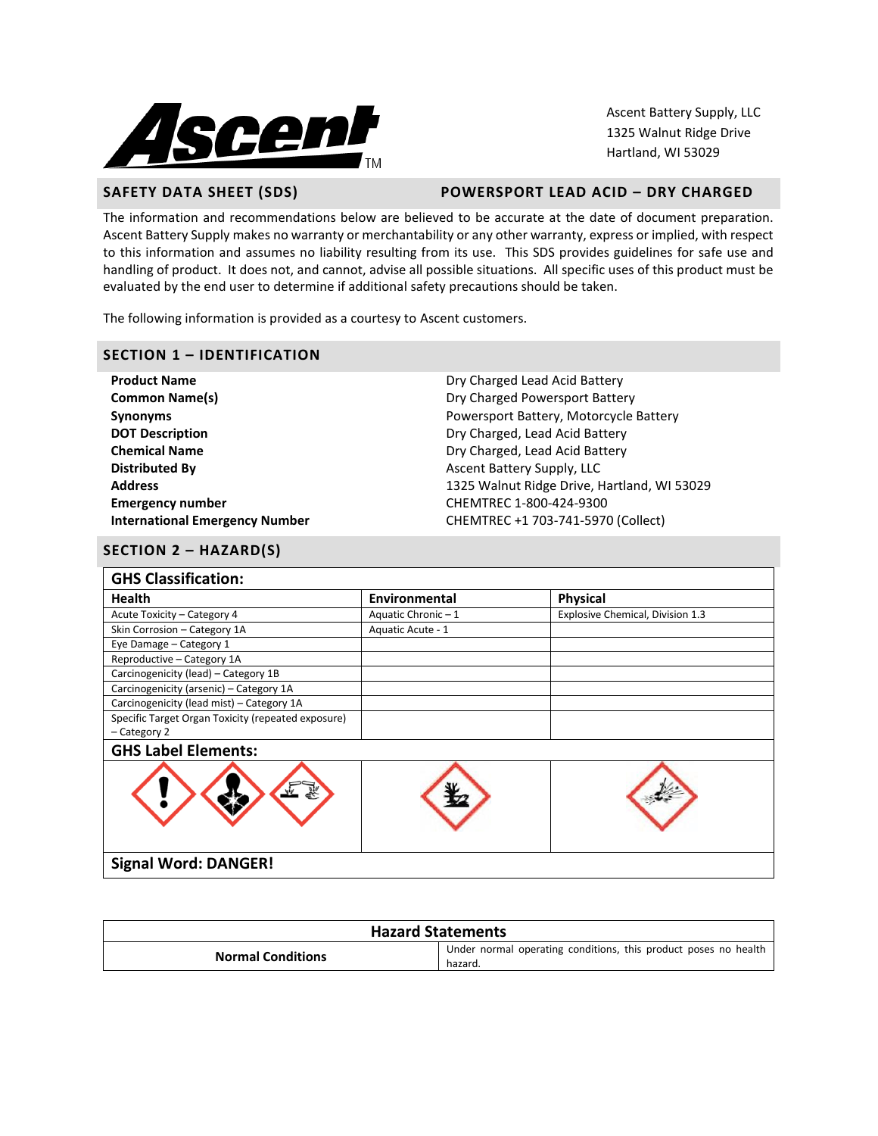

Ascent Battery Supply, LLC 1325 Walnut Ridge Drive Hartland, WI 53029

## **SAFETY DATA SHEET (SDS) POWERSPORT LEAD ACID – DRY CHARGED**

The information and recommendations below are believed to be accurate at the date of document preparation. Ascent Battery Supply makes no warranty or merchantability or any other warranty, express or implied, with respect to this information and assumes no liability resulting from its use. This SDS provides guidelines for safe use and handling of product. It does not, and cannot, advise all possible situations. All specific uses of this product must be evaluated by the end user to determine if additional safety precautions should be taken.

The following information is provided as a courtesy to Ascent customers.

## **SECTION 1 – IDENTIFICATION**

**Product Name Dry Charged Lead Acid Battery Common Name(s) Common Name(s) Dry Charged Powersport Battery DOT Description** Dry Charged, Lead Acid Battery **Chemical Name Dry Charged, Lead Acid Battery Distributed By Assume Assume Asset Battery Supply, LLC Emergency number** CHEMTREC 1-800-424-9300

**Synonyms** Powersport Battery, Motorcycle Battery **Address** 1325 Walnut Ridge Drive, Hartland, WI 53029 **International Emergency Number** CHEMTREC +1 703-741-5970 (Collect)

## **SECTION 2 – HAZARD(S)**

| <b>GHS Classification:</b>                         |                   |                                  |  |
|----------------------------------------------------|-------------------|----------------------------------|--|
| <b>Health</b>                                      | Environmental     | <b>Physical</b>                  |  |
| Acute Toxicity - Category 4                        | Aquatic Chronic-1 | Explosive Chemical, Division 1.3 |  |
| Skin Corrosion - Category 1A                       | Aquatic Acute - 1 |                                  |  |
| Eye Damage - Category 1                            |                   |                                  |  |
| Reproductive - Category 1A                         |                   |                                  |  |
| Carcinogenicity (lead) - Category 1B               |                   |                                  |  |
| Carcinogenicity (arsenic) - Category 1A            |                   |                                  |  |
| Carcinogenicity (lead mist) - Category 1A          |                   |                                  |  |
| Specific Target Organ Toxicity (repeated exposure) |                   |                                  |  |
| - Category 2                                       |                   |                                  |  |
| <b>GHS Label Elements:</b>                         |                   |                                  |  |
|                                                    |                   |                                  |  |
| <b>Signal Word: DANGER!</b>                        |                   |                                  |  |

| <b>Hazard Statements</b> |                                                                            |  |  |
|--------------------------|----------------------------------------------------------------------------|--|--|
| <b>Normal Conditions</b> | Under normal operating conditions, this product poses no health<br>hazard. |  |  |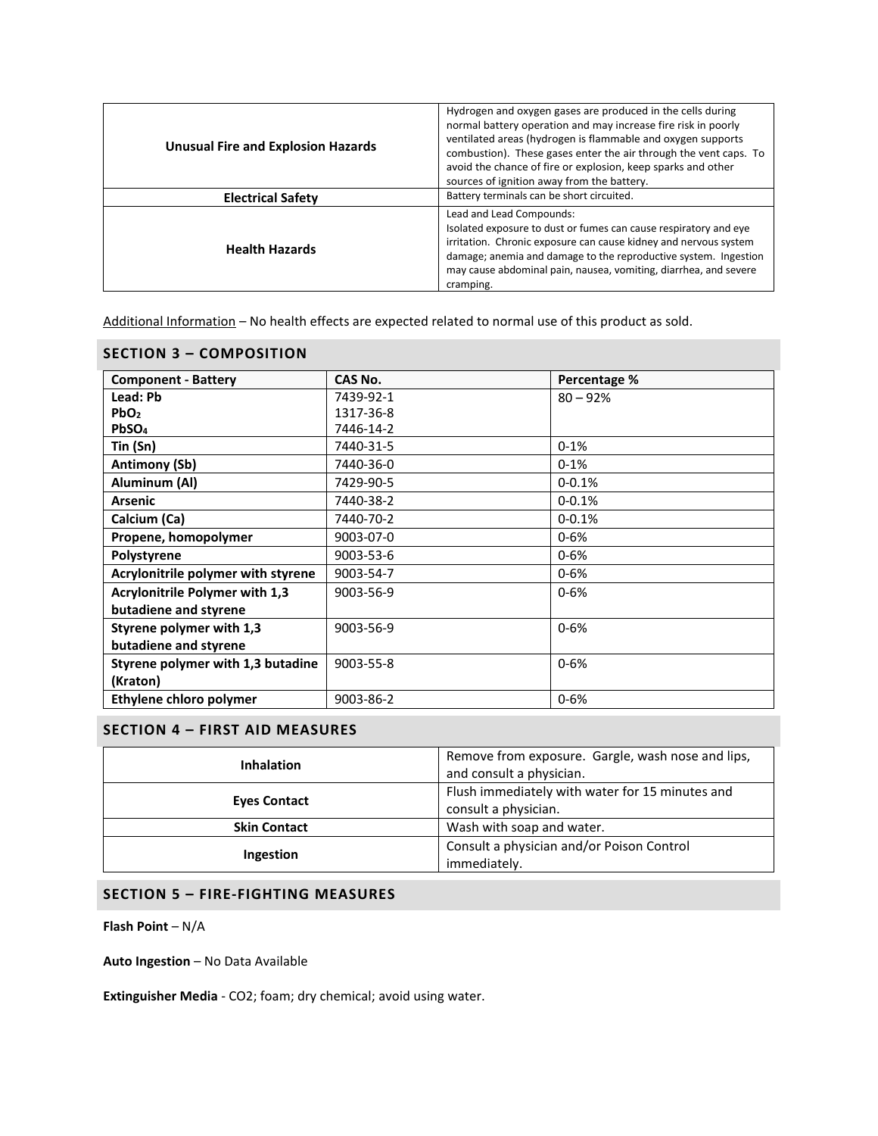| <b>Unusual Fire and Explosion Hazards</b><br><b>Electrical Safety</b> | Hydrogen and oxygen gases are produced in the cells during<br>normal battery operation and may increase fire risk in poorly<br>ventilated areas (hydrogen is flammable and oxygen supports<br>combustion). These gases enter the air through the vent caps. To<br>avoid the chance of fire or explosion, keep sparks and other<br>sources of ignition away from the battery.<br>Battery terminals can be short circuited. |
|-----------------------------------------------------------------------|---------------------------------------------------------------------------------------------------------------------------------------------------------------------------------------------------------------------------------------------------------------------------------------------------------------------------------------------------------------------------------------------------------------------------|
| <b>Health Hazards</b>                                                 | Lead and Lead Compounds:<br>Isolated exposure to dust or fumes can cause respiratory and eye<br>irritation. Chronic exposure can cause kidney and nervous system<br>damage; anemia and damage to the reproductive system. Ingestion<br>may cause abdominal pain, nausea, vomiting, diarrhea, and severe<br>cramping.                                                                                                      |

Additional Information – No health effects are expected related to normal use of this product as sold.

| <b>SECTION 3 - COMPOSITION</b>     |           |              |  |  |  |  |
|------------------------------------|-----------|--------------|--|--|--|--|
| <b>Component - Battery</b>         | CAS No.   | Percentage % |  |  |  |  |
| Lead: Pb                           | 7439-92-1 | $80 - 92%$   |  |  |  |  |
| PbO <sub>2</sub>                   | 1317-36-8 |              |  |  |  |  |
| PbSO <sub>4</sub>                  | 7446-14-2 |              |  |  |  |  |
| Tin (Sn)                           | 7440-31-5 | $0 - 1%$     |  |  |  |  |
| Antimony (Sb)                      | 7440-36-0 | $0 - 1%$     |  |  |  |  |
| Aluminum (Al)                      | 7429-90-5 | $0 - 0.1%$   |  |  |  |  |
| <b>Arsenic</b>                     | 7440-38-2 | $0 - 0.1%$   |  |  |  |  |
| Calcium (Ca)                       | 7440-70-2 | $0 - 0.1%$   |  |  |  |  |
| Propene, homopolymer               | 9003-07-0 | $0 - 6%$     |  |  |  |  |
| Polystyrene                        | 9003-53-6 | $0 - 6%$     |  |  |  |  |
| Acrylonitrile polymer with styrene | 9003-54-7 | $0 - 6%$     |  |  |  |  |
| Acrylonitrile Polymer with 1,3     | 9003-56-9 | $0 - 6%$     |  |  |  |  |
| butadiene and styrene              |           |              |  |  |  |  |
| Styrene polymer with 1,3           | 9003-56-9 | $0 - 6%$     |  |  |  |  |
| butadiene and styrene              |           |              |  |  |  |  |
| Styrene polymer with 1,3 butadine  | 9003-55-8 | $0 - 6%$     |  |  |  |  |
| (Kraton)                           |           |              |  |  |  |  |
| Ethylene chloro polymer            | 9003-86-2 | $0 - 6%$     |  |  |  |  |

# **SECTION 4 – FIRST AID MEASURES**

| Remove from exposure. Gargle, wash nose and lips,<br><b>Inhalation</b><br>and consult a physician. |                                                 |  |
|----------------------------------------------------------------------------------------------------|-------------------------------------------------|--|
| <b>Eyes Contact</b>                                                                                | Flush immediately with water for 15 minutes and |  |
|                                                                                                    | consult a physician.                            |  |
| <b>Skin Contact</b>                                                                                | Wash with soap and water.                       |  |
|                                                                                                    | Consult a physician and/or Poison Control       |  |
| Ingestion                                                                                          | immediately.                                    |  |

# **SECTION 5 – FIRE-FIGHTING MEASURES**

**Flash Point** – N/A

**Auto Ingestion** – No Data Available

**Extinguisher Media** - CO2; foam; dry chemical; avoid using water.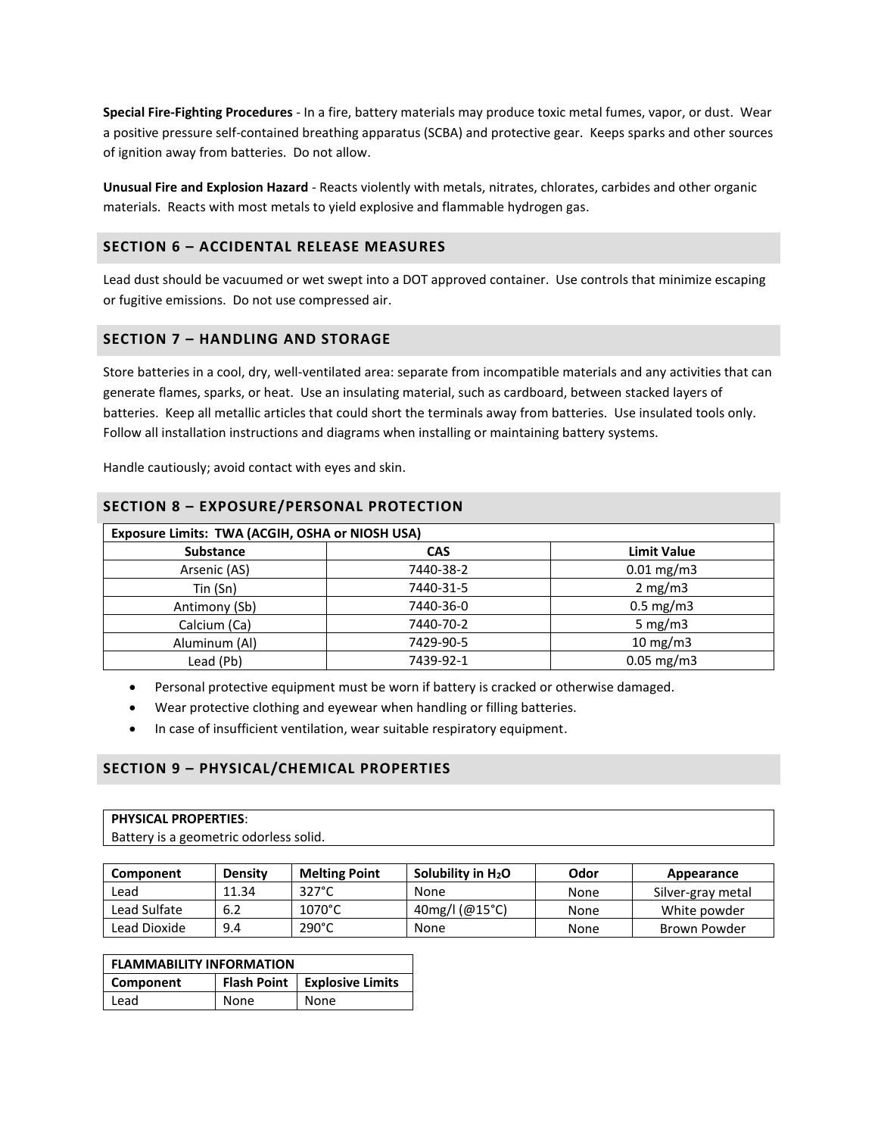**Special Fire-Fighting Procedures** - In a fire, battery materials may produce toxic metal fumes, vapor, or dust. Wear a positive pressure self-contained breathing apparatus (SCBA) and protective gear. Keeps sparks and other sources of ignition away from batteries. Do not allow.

**Unusual Fire and Explosion Hazard** - Reacts violently with metals, nitrates, chlorates, carbides and other organic materials. Reacts with most metals to yield explosive and flammable hydrogen gas.

## **SECTION 6 – ACCIDENTAL RELEASE MEASURES**

Lead dust should be vacuumed or wet swept into a DOT approved container. Use controls that minimize escaping or fugitive emissions. Do not use compressed air.

## **SECTION 7 – HANDLING AND STORAGE**

Store batteries in a cool, dry, well-ventilated area: separate from incompatible materials and any activities that can generate flames, sparks, or heat. Use an insulating material, such as cardboard, between stacked layers of batteries. Keep all metallic articles that could short the terminals away from batteries. Use insulated tools only. Follow all installation instructions and diagrams when installing or maintaining battery systems.

Handle cautiously; avoid contact with eyes and skin.

| SECTION 8 - EXPOSURE/PERSONAL PROTECTION        |            |                      |  |  |  |
|-------------------------------------------------|------------|----------------------|--|--|--|
| Exposure Limits: TWA (ACGIH, OSHA or NIOSH USA) |            |                      |  |  |  |
| <b>Substance</b>                                | <b>CAS</b> | <b>Limit Value</b>   |  |  |  |
| Arsenic (AS)                                    | 7440-38-2  | $0.01$ mg/m3         |  |  |  |
| Tin(Sn)                                         | 7440-31-5  | 2 mg/m3              |  |  |  |
| Antimony (Sb)                                   | 7440-36-0  | $0.5 \text{ mg/m}$ 3 |  |  |  |
| Calcium (Ca)                                    | 7440-70-2  | 5 mg/m $3$           |  |  |  |
| Aluminum (Al)                                   | 7429-90-5  | $10 \text{ mg/m}$    |  |  |  |
| Lead (Pb)                                       | 7439-92-1  | $0.05$ mg/m3         |  |  |  |

## **SECTION 8 – EXPOSURE/PERSONAL PROTECTION**

Personal protective equipment must be worn if battery is cracked or otherwise damaged.

- Wear protective clothing and eyewear when handling or filling batteries.
- In case of insufficient ventilation, wear suitable respiratory equipment.

## **SECTION 9 – PHYSICAL/CHEMICAL PROPERTIES**

#### **PHYSICAL PROPERTIES**:

Battery is a geometric odorless solid.

| Component    | <b>Density</b> | <b>Melting Point</b> | Solubility in $H_2O$ | Odor | Appearance        |
|--------------|----------------|----------------------|----------------------|------|-------------------|
| Lead         | 11.34          | $327^\circ C$        | None                 | None | Silver-gray metal |
| Lead Sulfate | 6.2            | $1070^{\circ}$ C     | 40mg/l (@15°C)       | None | White powder      |
| Lead Dioxide | 9.4            | $290^{\circ}$ C      | None                 | None | Brown Powder      |

| <b>FLAMMABILITY INFORMATION</b> |      |                                |  |
|---------------------------------|------|--------------------------------|--|
| Component                       |      | Flash Point   Explosive Limits |  |
| Lead                            | None | None                           |  |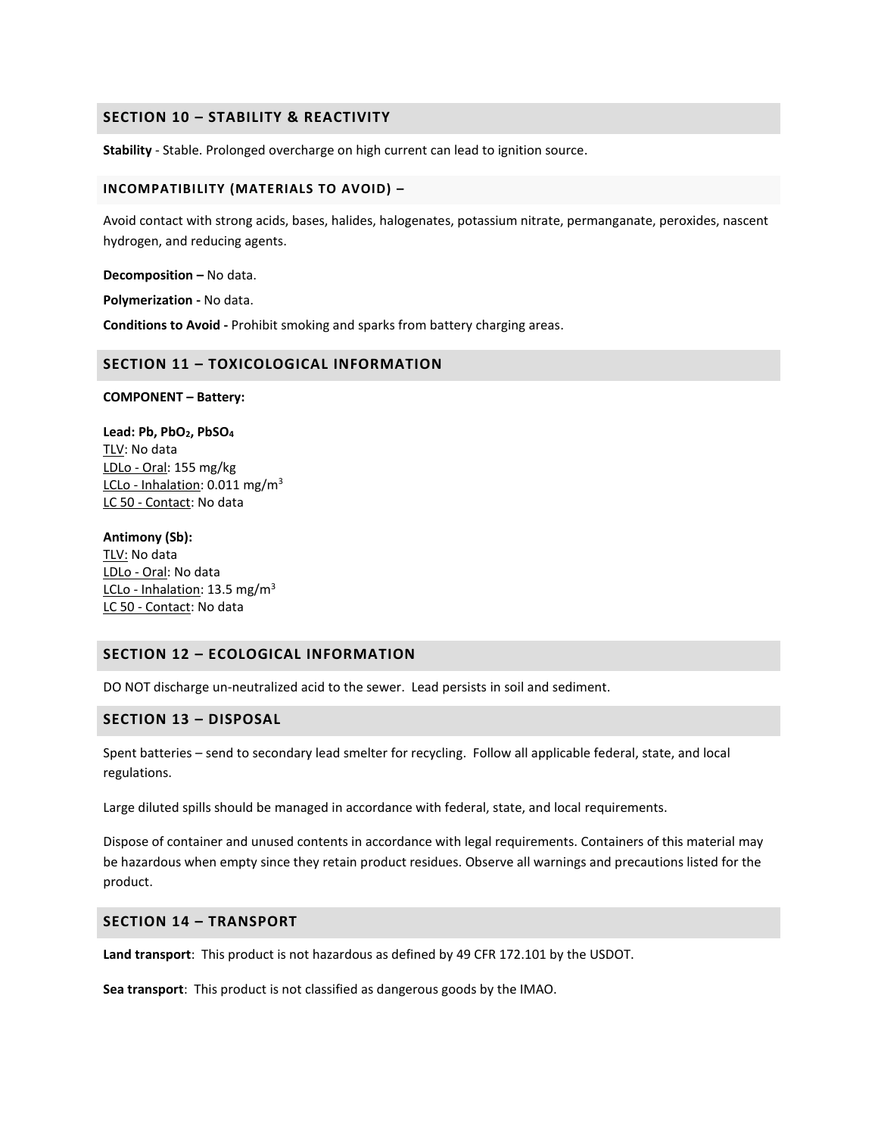## **SECTION 10 – STABILITY & REACTIVITY**

**Stability** - Stable. Prolonged overcharge on high current can lead to ignition source.

#### **INCOMPATIBILITY (MATERIALS TO AVOID) –**

Avoid contact with strong acids, bases, halides, halogenates, potassium nitrate, permanganate, peroxides, nascent hydrogen, and reducing agents.

**Decomposition –** No data.

**Polymerization -** No data.

**Conditions to Avoid -** Prohibit smoking and sparks from battery charging areas.

## **SECTION 11 – TOXICOLOGICAL INFORMATION**

#### **COMPONENT – Battery:**

**Lead: Pb, PbO2, PbSO<sup>4</sup>** TLV: No data LDLo - Oral: 155 mg/kg LCLo - Inhalation: 0.011 mg/m<sup>3</sup> LC 50 - Contact: No data

#### **Antimony (Sb):**

TLV: No data LDLo - Oral: No data LCLo - Inhalation: 13.5 mg/m<sup>3</sup> LC 50 - Contact: No data

## **SECTION 12 – ECOLOGICAL INFORMATION**

DO NOT discharge un-neutralized acid to the sewer. Lead persists in soil and sediment.

## **SECTION 13 – DISPOSAL**

Spent batteries – send to secondary lead smelter for recycling. Follow all applicable federal, state, and local regulations.

Large diluted spills should be managed in accordance with federal, state, and local requirements.

Dispose of container and unused contents in accordance with legal requirements. Containers of this material may be hazardous when empty since they retain product residues. Observe all warnings and precautions listed for the product.

# **SECTION 14 – TRANSPORT**

**Land transport**: This product is not hazardous as defined by 49 CFR 172.101 by the USDOT.

**Sea transport**: This product is not classified as dangerous goods by the IMAO.